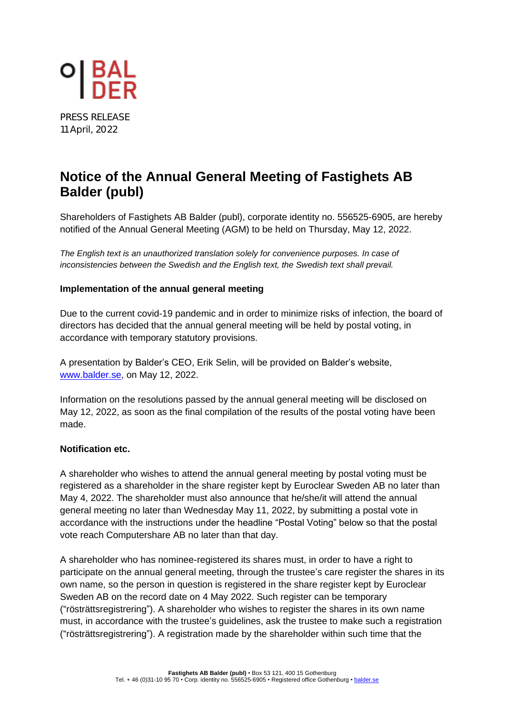

PRESS RELEASE 11 April, 2022

# **Notice of the Annual General Meeting of Fastighets AB Balder (publ)**

Shareholders of Fastighets AB Balder (publ), corporate identity no. 556525-6905, are hereby notified of the Annual General Meeting (AGM) to be held on Thursday, May 12, 2022.

*The English text is an unauthorized translation solely for convenience purposes. In case of inconsistencies between the Swedish and the English text, the Swedish text shall prevail.*

### **Implementation of the annual general meeting**

Due to the current covid-19 pandemic and in order to minimize risks of infection, the board of directors has decided that the annual general meeting will be held by postal voting, in accordance with temporary statutory provisions.

A presentation by Balder's CEO, Erik Selin, will be provided on Balder's website, [www.balder.se,](https://en.balder.se/investor-relations/agm-2022) on May 12, 2022.

Information on the resolutions passed by the annual general meeting will be disclosed on May 12, 2022, as soon as the final compilation of the results of the postal voting have been made.

#### **Notification etc.**

A shareholder who wishes to attend the annual general meeting by postal voting must be registered as a shareholder in the share register kept by Euroclear Sweden AB no later than May 4, 2022. The shareholder must also announce that he/she/it will attend the annual general meeting no later than Wednesday May 11, 2022, by submitting a postal vote in accordance with the instructions under the headline "Postal Voting" below so that the postal vote reach Computershare AB no later than that day.

A shareholder who has nominee-registered its shares must, in order to have a right to participate on the annual general meeting, through the trustee's care register the shares in its own name, so the person in question is registered in the share register kept by Euroclear Sweden AB on the record date on 4 May 2022. Such register can be temporary ("rösträttsregistrering"). A shareholder who wishes to register the shares in its own name must, in accordance with the trustee's guidelines, ask the trustee to make such a registration ("rösträttsregistrering"). A registration made by the shareholder within such time that the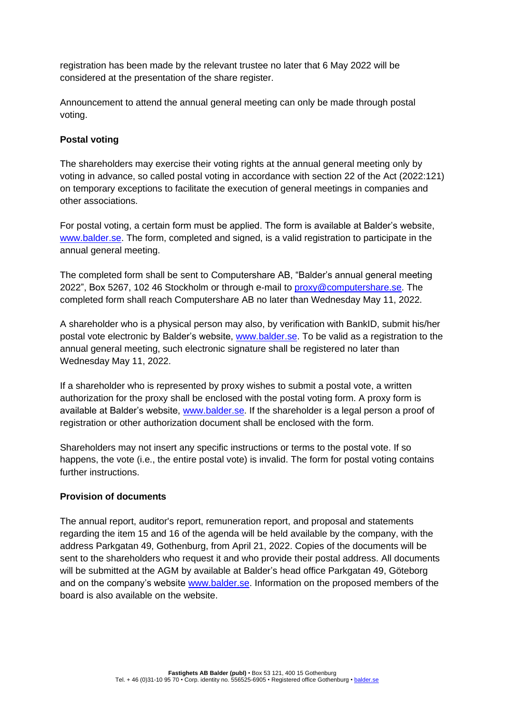registration has been made by the relevant trustee no later that 6 May 2022 will be considered at the presentation of the share register.

Announcement to attend the annual general meeting can only be made through postal voting.

# **Postal voting**

The shareholders may exercise their voting rights at the annual general meeting only by voting in advance, so called postal voting in accordance with section 22 of the Act (2022:121) on temporary exceptions to facilitate the execution of general meetings in companies and other associations.

For postal voting, a certain form must be applied. The form is available at Balder's website, [www.balder.se.](https://en.balder.se/investor-relations/agm-2022) The form, completed and signed, is a valid registration to participate in the annual general meeting.

The completed form shall be sent to Computershare AB, "Balder's annual general meeting 2022", Box 5267, 102 46 Stockholm or through e-mail to [proxy@computershare.se.](mailto:proxy@computershare.se) The completed form shall reach Computershare AB no later than Wednesday May 11, 2022.

A shareholder who is a physical person may also, by verification with BankID, submit his/her postal vote electronic by Balder's website, [www.balder.se.](https://en.balder.se/investor-relations/agm-2022) To be valid as a registration to the annual general meeting, such electronic signature shall be registered no later than Wednesday May 11, 2022.

If a shareholder who is represented by proxy wishes to submit a postal vote, a written authorization for the proxy shall be enclosed with the postal voting form. A proxy form is available at Balder's website, [www.balder.se.](https://en.balder.se/investor-relations/agm-2022) If the shareholder is a legal person a proof of registration or other authorization document shall be enclosed with the form.

Shareholders may not insert any specific instructions or terms to the postal vote. If so happens, the vote (i.e., the entire postal vote) is invalid. The form for postal voting contains further instructions.

#### **Provision of documents**

The annual report, auditor's report, remuneration report, and proposal and statements regarding the item 15 and 16 of the agenda will be held available by the company, with the address Parkgatan 49, Gothenburg, from April 21, 2022. Copies of the documents will be sent to the shareholders who request it and who provide their postal address. All documents will be submitted at the AGM by available at Balder's head office Parkgatan 49, Göteborg and on the company's website [www.balder.se.](https://en.balder.se/investor-relations/agm-2022) Information on the proposed members of the board is also available on the website.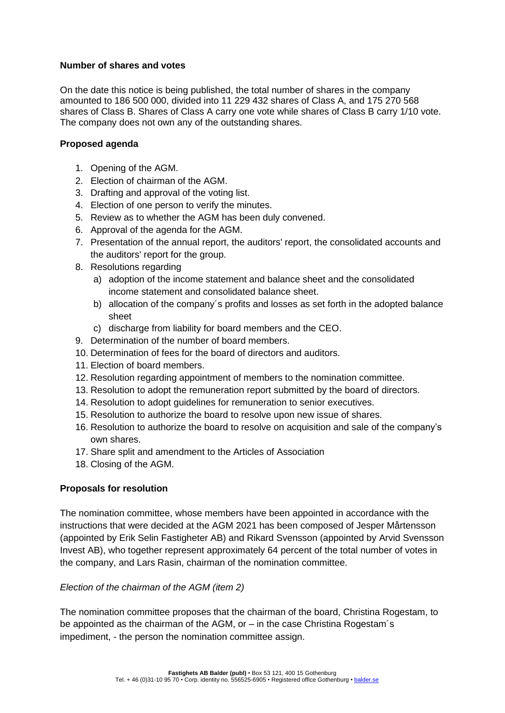#### **Number of shares and votes**

On the date this notice is being published, the total number of shares in the company amounted to 186 500 000, divided into 11 229 432 shares of Class A, and 175 270 568 shares of Class B. Shares of Class A carry one vote while shares of Class B carry 1/10 vote. The company does not own any of the outstanding shares.

# **Proposed agenda**

- 1. Opening of the AGM.
- 2. Election of chairman of the AGM.
- 3. Drafting and approval of the voting list.
- 4. Election of one person to verify the minutes.
- 5. Review as to whether the AGM has been duly convened.
- 6. Approval of the agenda for the AGM.
- 7. Presentation of the annual report, the auditors' report, the consolidated accounts and the auditors' report for the group.
- 8. Resolutions regarding
	- a) adoption of the income statement and balance sheet and the consolidated income statement and consolidated balance sheet.
	- b) allocation of the company´s profits and losses as set forth in the adopted balance sheet
	- c) discharge from liability for board members and the CEO.
- 9. Determination of the number of board members.
- 10. Determination of fees for the board of directors and auditors.
- 11. Election of board members.
- 12. Resolution regarding appointment of members to the nomination committee.
- 13. Resolution to adopt the remuneration report submitted by the board of directors.
- 14. Resolution to adopt guidelines for remuneration to senior executives.
- 15. Resolution to authorize the board to resolve upon new issue of shares.
- 16. Resolution to authorize the board to resolve on acquisition and sale of the company's own shares.
- 17. Share split and amendment to the Articles of Association
- 18. Closing of the AGM.

# **Proposals for resolution**

The nomination committee, whose members have been appointed in accordance with the instructions that were decided at the AGM 2021 has been composed of Jesper Mårtensson (appointed by Erik Selin Fastigheter AB) and Rikard Svensson (appointed by Arvid Svensson Invest AB), who together represent approximately 64 percent of the total number of votes in the company, and Lars Rasin, chairman of the nomination committee.

#### *Election of the chairman of the AGM (item 2)*

The nomination committee proposes that the chairman of the board, Christina Rogestam, to be appointed as the chairman of the AGM, or – in the case Christina Rogestam´s impediment, - the person the nomination committee assign.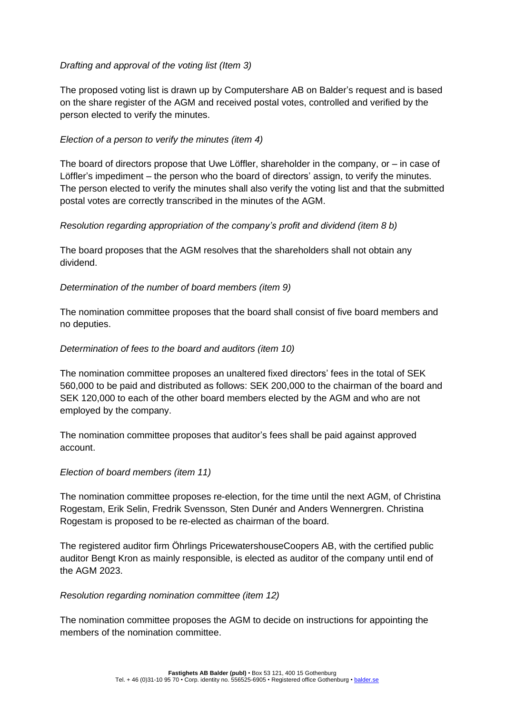# *Drafting and approval of the voting list (Item 3)*

The proposed voting list is drawn up by Computershare AB on Balder's request and is based on the share register of the AGM and received postal votes, controlled and verified by the person elected to verify the minutes.

## *Election of a person to verify the minutes (item 4)*

The board of directors propose that Uwe Löffler, shareholder in the company, or  $-$  in case of Löffler's impediment – the person who the board of directors' assign, to verify the minutes. The person elected to verify the minutes shall also verify the voting list and that the submitted postal votes are correctly transcribed in the minutes of the AGM.

## *Resolution regarding appropriation of the company's profit and dividend (item 8 b)*

The board proposes that the AGM resolves that the shareholders shall not obtain any dividend.

#### *Determination of the number of board members (item 9)*

The nomination committee proposes that the board shall consist of five board members and no deputies.

## *Determination of fees to the board and auditors (item 10)*

The nomination committee proposes an unaltered fixed directors' fees in the total of SEK 560,000 to be paid and distributed as follows: SEK 200,000 to the chairman of the board and SEK 120,000 to each of the other board members elected by the AGM and who are not employed by the company.

The nomination committee proposes that auditor's fees shall be paid against approved account.

#### *Election of board members (item 11)*

The nomination committee proposes re-election, for the time until the next AGM, of Christina Rogestam, Erik Selin, Fredrik Svensson, Sten Dunér and Anders Wennergren. Christina Rogestam is proposed to be re-elected as chairman of the board.

The registered auditor firm Öhrlings PricewatershouseCoopers AB, with the certified public auditor Bengt Kron as mainly responsible, is elected as auditor of the company until end of the AGM 2023.

#### *Resolution regarding nomination committee (item 12)*

The nomination committee proposes the AGM to decide on instructions for appointing the members of the nomination committee.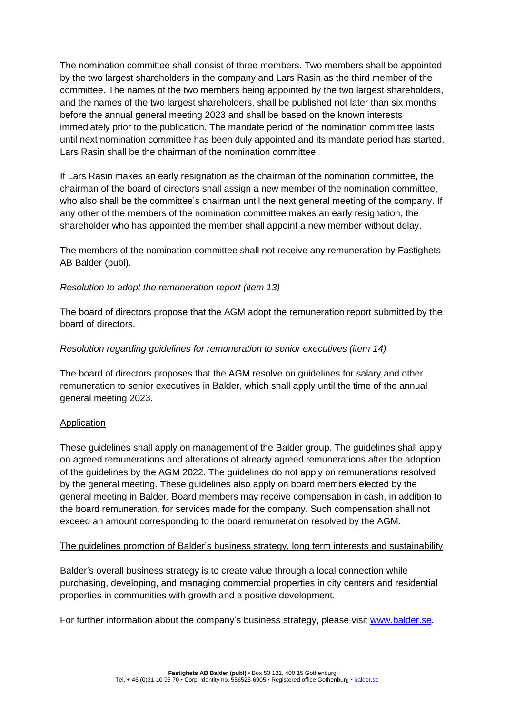The nomination committee shall consist of three members. Two members shall be appointed by the two largest shareholders in the company and Lars Rasin as the third member of the committee. The names of the two members being appointed by the two largest shareholders, and the names of the two largest shareholders, shall be published not later than six months before the annual general meeting 2023 and shall be based on the known interests immediately prior to the publication. The mandate period of the nomination committee lasts until next nomination committee has been duly appointed and its mandate period has started. Lars Rasin shall be the chairman of the nomination committee.

If Lars Rasin makes an early resignation as the chairman of the nomination committee, the chairman of the board of directors shall assign a new member of the nomination committee, who also shall be the committee's chairman until the next general meeting of the company. If any other of the members of the nomination committee makes an early resignation, the shareholder who has appointed the member shall appoint a new member without delay.

The members of the nomination committee shall not receive any remuneration by Fastighets AB Balder (publ).

## *Resolution to adopt the remuneration report (item 13)*

The board of directors propose that the AGM adopt the remuneration report submitted by the board of directors.

## *Resolution regarding guidelines for remuneration to senior executives (item 14)*

The board of directors proposes that the AGM resolve on guidelines for salary and other remuneration to senior executives in Balder, which shall apply until the time of the annual general meeting 2023.

#### Application

These guidelines shall apply on management of the Balder group. The guidelines shall apply on agreed remunerations and alterations of already agreed remunerations after the adoption of the guidelines by the AGM 2022. The guidelines do not apply on remunerations resolved by the general meeting. These guidelines also apply on board members elected by the general meeting in Balder. Board members may receive compensation in cash, in addition to the board remuneration, for services made for the company. Such compensation shall not exceed an amount corresponding to the board remuneration resolved by the AGM.

#### The guidelines promotion of Balder's business strategy, long term interests and sustainability

Balder's overall business strategy is to create value through a local connection while purchasing, developing, and managing commercial properties in city centers and residential properties in communities with growth and a positive development.

For further information about the company's business strategy, please visit [www.balder.se.](https://en.balder.se/)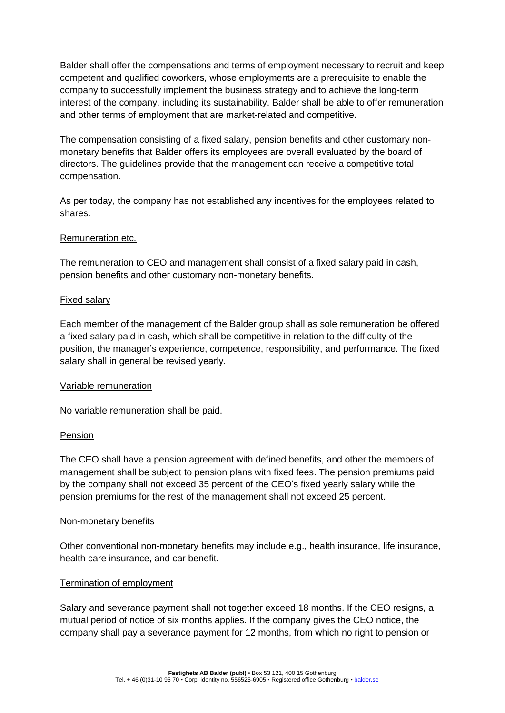Balder shall offer the compensations and terms of employment necessary to recruit and keep competent and qualified coworkers, whose employments are a prerequisite to enable the company to successfully implement the business strategy and to achieve the long-term interest of the company, including its sustainability. Balder shall be able to offer remuneration and other terms of employment that are market-related and competitive.

The compensation consisting of a fixed salary, pension benefits and other customary nonmonetary benefits that Balder offers its employees are overall evaluated by the board of directors. The guidelines provide that the management can receive a competitive total compensation.

As per today, the company has not established any incentives for the employees related to shares.

#### Remuneration etc.

The remuneration to CEO and management shall consist of a fixed salary paid in cash, pension benefits and other customary non-monetary benefits.

#### Fixed salary

Each member of the management of the Balder group shall as sole remuneration be offered a fixed salary paid in cash, which shall be competitive in relation to the difficulty of the position, the manager's experience, competence, responsibility, and performance. The fixed salary shall in general be revised yearly.

#### Variable remuneration

No variable remuneration shall be paid.

#### Pension

The CEO shall have a pension agreement with defined benefits, and other the members of management shall be subject to pension plans with fixed fees. The pension premiums paid by the company shall not exceed 35 percent of the CEO's fixed yearly salary while the pension premiums for the rest of the management shall not exceed 25 percent.

#### Non-monetary benefits

Other conventional non-monetary benefits may include e.g., health insurance, life insurance, health care insurance, and car benefit.

#### Termination of employment

Salary and severance payment shall not together exceed 18 months. If the CEO resigns, a mutual period of notice of six months applies. If the company gives the CEO notice, the company shall pay a severance payment for 12 months, from which no right to pension or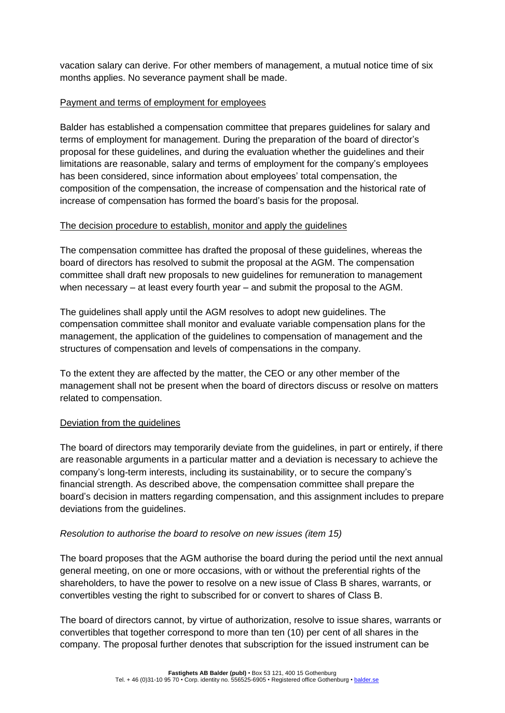vacation salary can derive. For other members of management, a mutual notice time of six months applies. No severance payment shall be made.

# Payment and terms of employment for employees

Balder has established a compensation committee that prepares guidelines for salary and terms of employment for management. During the preparation of the board of director's proposal for these guidelines, and during the evaluation whether the guidelines and their limitations are reasonable, salary and terms of employment for the company's employees has been considered, since information about employees' total compensation, the composition of the compensation, the increase of compensation and the historical rate of increase of compensation has formed the board's basis for the proposal.

## The decision procedure to establish, monitor and apply the guidelines

The compensation committee has drafted the proposal of these guidelines, whereas the board of directors has resolved to submit the proposal at the AGM. The compensation committee shall draft new proposals to new guidelines for remuneration to management when necessary – at least every fourth year – and submit the proposal to the AGM.

The guidelines shall apply until the AGM resolves to adopt new guidelines. The compensation committee shall monitor and evaluate variable compensation plans for the management, the application of the guidelines to compensation of management and the structures of compensation and levels of compensations in the company.

To the extent they are affected by the matter, the CEO or any other member of the management shall not be present when the board of directors discuss or resolve on matters related to compensation.

# Deviation from the guidelines

The board of directors may temporarily deviate from the guidelines, in part or entirely, if there are reasonable arguments in a particular matter and a deviation is necessary to achieve the company's long-term interests, including its sustainability, or to secure the company's financial strength. As described above, the compensation committee shall prepare the board's decision in matters regarding compensation, and this assignment includes to prepare deviations from the guidelines.

#### *Resolution to authorise the board to resolve on new issues (item 15)*

The board proposes that the AGM authorise the board during the period until the next annual general meeting, on one or more occasions, with or without the preferential rights of the shareholders, to have the power to resolve on a new issue of Class B shares, warrants, or convertibles vesting the right to subscribed for or convert to shares of Class B.

The board of directors cannot, by virtue of authorization, resolve to issue shares, warrants or convertibles that together correspond to more than ten (10) per cent of all shares in the company. The proposal further denotes that subscription for the issued instrument can be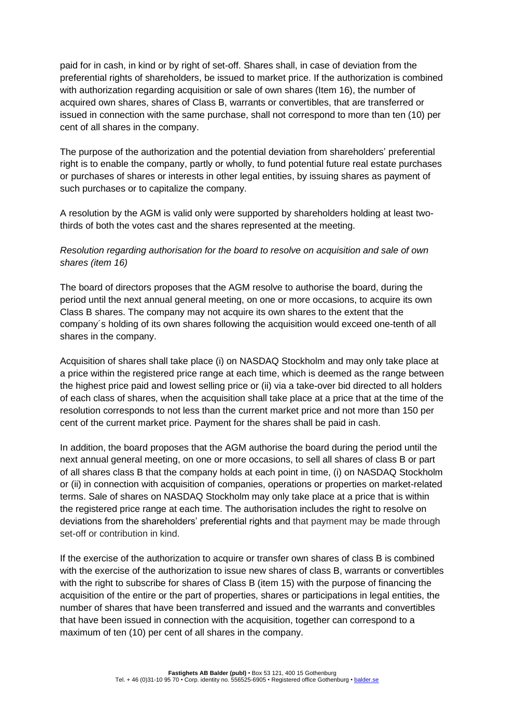paid for in cash, in kind or by right of set-off. Shares shall, in case of deviation from the preferential rights of shareholders, be issued to market price. If the authorization is combined with authorization regarding acquisition or sale of own shares (Item 16), the number of acquired own shares, shares of Class B, warrants or convertibles, that are transferred or issued in connection with the same purchase, shall not correspond to more than ten (10) per cent of all shares in the company.

The purpose of the authorization and the potential deviation from shareholders' preferential right is to enable the company, partly or wholly, to fund potential future real estate purchases or purchases of shares or interests in other legal entities, by issuing shares as payment of such purchases or to capitalize the company.

A resolution by the AGM is valid only were supported by shareholders holding at least twothirds of both the votes cast and the shares represented at the meeting.

# *Resolution regarding authorisation for the board to resolve on acquisition and sale of own shares (item 16)*

The board of directors proposes that the AGM resolve to authorise the board, during the period until the next annual general meeting, on one or more occasions, to acquire its own Class B shares. The company may not acquire its own shares to the extent that the company´s holding of its own shares following the acquisition would exceed one-tenth of all shares in the company.

Acquisition of shares shall take place (i) on NASDAQ Stockholm and may only take place at a price within the registered price range at each time, which is deemed as the range between the highest price paid and lowest selling price or (ii) via a take-over bid directed to all holders of each class of shares, when the acquisition shall take place at a price that at the time of the resolution corresponds to not less than the current market price and not more than 150 per cent of the current market price. Payment for the shares shall be paid in cash.

In addition, the board proposes that the AGM authorise the board during the period until the next annual general meeting, on one or more occasions, to sell all shares of class B or part of all shares class B that the company holds at each point in time, (i) on NASDAQ Stockholm or (ii) in connection with acquisition of companies, operations or properties on market-related terms. Sale of shares on NASDAQ Stockholm may only take place at a price that is within the registered price range at each time. The authorisation includes the right to resolve on deviations from the shareholders' preferential rights and that payment may be made through set-off or contribution in kind.

If the exercise of the authorization to acquire or transfer own shares of class B is combined with the exercise of the authorization to issue new shares of class B, warrants or convertibles with the right to subscribe for shares of Class B (item 15) with the purpose of financing the acquisition of the entire or the part of properties, shares or participations in legal entities, the number of shares that have been transferred and issued and the warrants and convertibles that have been issued in connection with the acquisition, together can correspond to a maximum of ten (10) per cent of all shares in the company.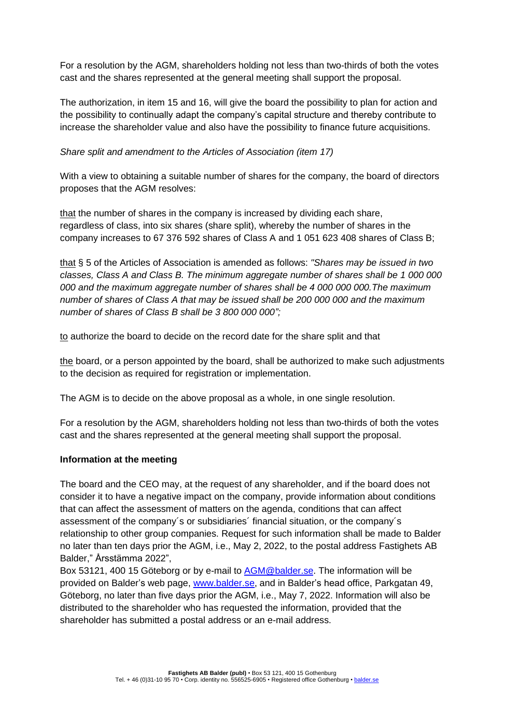For a resolution by the AGM, shareholders holding not less than two-thirds of both the votes cast and the shares represented at the general meeting shall support the proposal.

The authorization, in item 15 and 16, will give the board the possibility to plan for action and the possibility to continually adapt the company's capital structure and thereby contribute to increase the shareholder value and also have the possibility to finance future acquisitions.

*Share split and amendment to the Articles of Association (item 17)*

With a view to obtaining a suitable number of shares for the company, the board of directors proposes that the AGM resolves:

that the number of shares in the company is increased by dividing each share, regardless of class, into six shares (share split), whereby the number of shares in the company increases to 67 376 592 shares of Class A and 1 051 623 408 shares of Class B;

that § 5 of the Articles of Association is amended as follows: *"Shares may be issued in two classes, Class A and Class B. The minimum aggregate number of shares shall be 1 000 000 000 and the maximum aggregate number of shares shall be 4 000 000 000.The maximum number of shares of Class A that may be issued shall be 200 000 000 and the maximum number of shares of Class B shall be 3 800 000 000";*

to authorize the board to decide on the record date for the share split and that

the board, or a person appointed by the board, shall be authorized to make such adjustments to the decision as required for registration or implementation.

The AGM is to decide on the above proposal as a whole, in one single resolution.

For a resolution by the AGM, shareholders holding not less than two-thirds of both the votes cast and the shares represented at the general meeting shall support the proposal.

# **Information at the meeting**

The board and the CEO may, at the request of any shareholder, and if the board does not consider it to have a negative impact on the company, provide information about conditions that can affect the assessment of matters on the agenda, conditions that can affect assessment of the company´s or subsidiaries´ financial situation, or the company´s relationship to other group companies. Request for such information shall be made to Balder no later than ten days prior the AGM, i.e., May 2, 2022, to the postal address Fastighets AB Balder," Årsstämma 2022",

Box 53121, 400 15 Göteborg or by e-mail to [AGM@balder.se.](mailto:AGM@balder.se) The information will be provided on Balder's web page, [www.balder.se,](https://en.balder.se/investor-relations/agm-2022) and in Balder's head office, Parkgatan 49, Göteborg, no later than five days prior the AGM, i.e., May 7, 2022. Information will also be distributed to the shareholder who has requested the information, provided that the shareholder has submitted a postal address or an e-mail address.